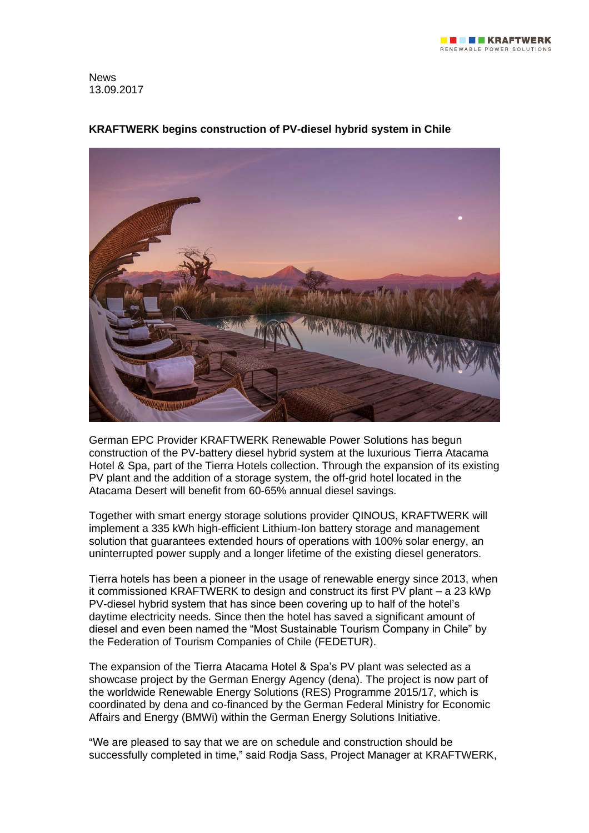

News 13.09.2017



# **KRAFTWERK begins construction of PV-diesel hybrid system in Chile**

German EPC Provider KRAFTWERK Renewable Power Solutions has begun construction of the PV-battery diesel hybrid system at the luxurious Tierra Atacama Hotel & Spa, part of the Tierra Hotels collection. Through the expansion of its existing PV plant and the addition of a storage system, the off-grid hotel located in the Atacama Desert will benefit from 60-65% annual diesel savings.

Together with smart energy storage solutions provider QINOUS, KRAFTWERK will implement a 335 kWh high-efficient Lithium-Ion battery storage and management solution that guarantees extended hours of operations with 100% solar energy, an uninterrupted power supply and a longer lifetime of the existing diesel generators.

Tierra hotels has been a pioneer in the usage of renewable energy since 2013, when it commissioned KRAFTWERK to design and construct its first PV plant – a 23 kWp PV-diesel hybrid system that has since been covering up to half of the hotel's daytime electricity needs. Since then the hotel has saved a significant amount of diesel and even been named the "Most Sustainable Tourism Company in Chile" by the Federation of Tourism Companies of Chile (FEDETUR).

The expansion of the Tierra Atacama Hotel & Spa's PV plant was selected as a showcase project by the German Energy Agency (dena). The project is now part of the worldwide Renewable Energy Solutions (RES) Programme 2015/17, which is coordinated by dena and co-financed by the German Federal Ministry for Economic Affairs and Energy (BMWi) within the German Energy Solutions Initiative.

"We are pleased to say that we are on schedule and construction should be successfully completed in time," said Rodja Sass, Project Manager at KRAFTWERK,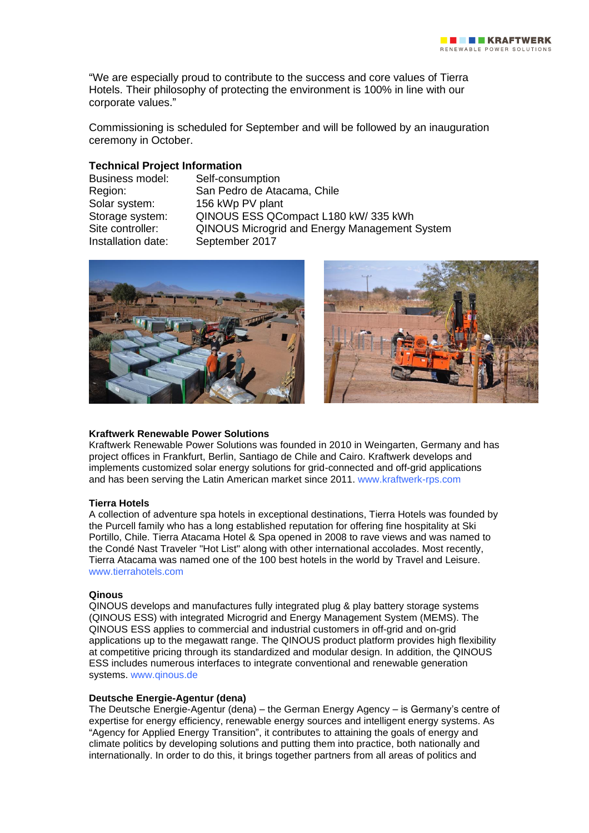"We are especially proud to contribute to the success and core values of Tierra Hotels. Their philosophy of protecting the environment is 100% in line with our corporate values."

Commissioning is scheduled for September and will be followed by an inauguration ceremony in October.

# **Technical Project Information**

Installation date: September 2017

Self-consumption Region: San Pedro de Atacama, Chile Solar system: 156 kWp PV plant Storage system: QINOUS ESS QCompact L180 kW/ 335 kWh Site controller: QINOUS Microgrid and Energy Management System





### **Kraftwerk Renewable Power Solutions**

Kraftwerk Renewable Power Solutions was founded in 2010 in Weingarten, Germany and has project offices in Frankfurt, Berlin, Santiago de Chile and Cairo. Kraftwerk develops and implements customized solar energy solutions for grid-connected and off-grid applications and has been serving the Latin American market since 2011. [www.kraftwerk-rps.com](http://www.kraftwerk-rps.com/home/)

### **Tierra Hotels**

A collection of adventure spa hotels in exceptional destinations, Tierra Hotels was founded by the Purcell family who has a long established reputation for offering fine hospitality at Ski Portillo, Chile. Tierra Atacama Hotel & Spa opened in 2008 to rave views and was named to the Condé Nast Traveler "Hot List" along with other international accolades. Most recently, Tierra Atacama was named one of the 100 best hotels in the world by Travel and Leisure. [www.tierrahotels.com](http://www.tierrahotels.com/)

### **Qinous**

QINOUS develops and manufactures fully integrated plug & play battery storage systems (QINOUS ESS) with integrated Microgrid and Energy Management System (MEMS). The QINOUS ESS applies to commercial and industrial customers in off-grid and on-grid applications up to the megawatt range. The QINOUS product platform provides high flexibility at competitive pricing through its standardized and modular design. In addition, the QINOUS ESS includes numerous interfaces to integrate conventional and renewable generation systems. [www.qinous.de](http://www.qinous.de/en/)

## **Deutsche Energie-Agentur (dena)**

The Deutsche Energie-Agentur (dena) – the German Energy Agency – is Germany's centre of expertise for energy efficiency, renewable energy sources and intelligent energy systems. As "Agency for Applied Energy Transition", it contributes to attaining the goals of energy and climate politics by developing solutions and putting them into practice, both nationally and internationally. In order to do this, it brings together partners from all areas of politics and